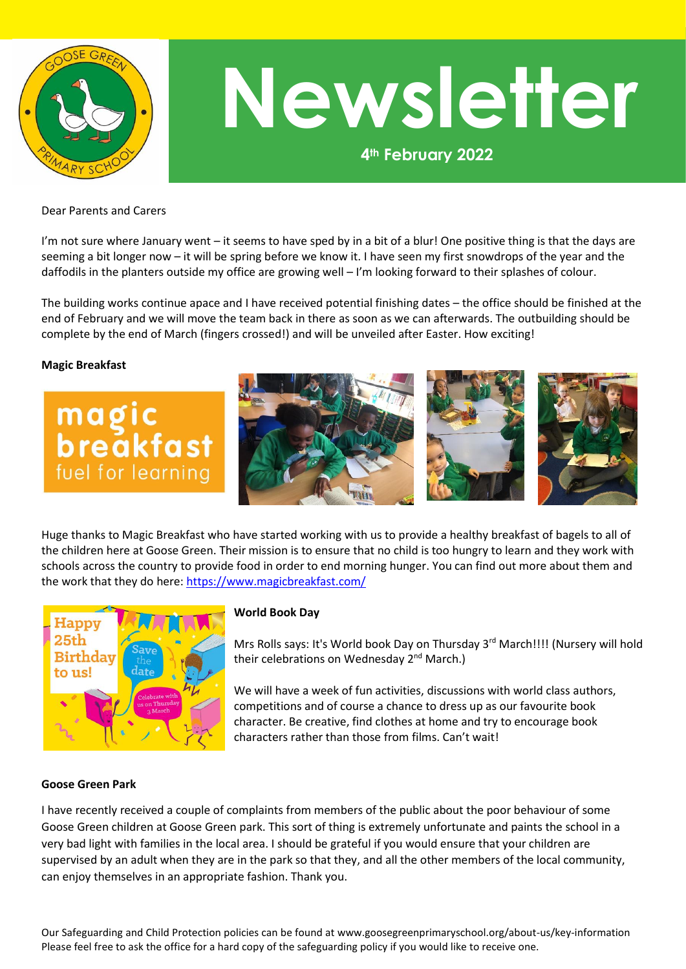

# **Newsletter**

**4th February 2022**

Dear Parents and Carers

I'm not sure where January went – it seems to have sped by in a bit of a blur! One positive thing is that the days are seeming a bit longer now – it will be spring before we know it. I have seen my first snowdrops of the year and the daffodils in the planters outside my office are growing well – I'm looking forward to their splashes of colour.

The building works continue apace and I have received potential finishing dates – the office should be finished at the end of February and we will move the team back in there as soon as we can afterwards. The outbuilding should be complete by the end of March (fingers crossed!) and will be unveiled after Easter. How exciting!

### **Magic Breakfast**



Huge thanks to Magic Breakfast who have started working with us to provide a healthy breakfast of bagels to all of the children here at Goose Green. Their mission is to ensure that no child is too hungry to learn and they work with schools across the country to provide food in order to end morning hunger. You can find out more about them and the work that they do here:<https://www.magicbreakfast.com/>



#### **World Book Day**

Mrs Rolls says: It's World book Day on Thursday 3<sup>rd</sup> March!!!! (Nursery will hold their celebrations on Wednesday 2<sup>nd</sup> March.)

We will have a week of fun activities, discussions with world class authors, competitions and of course a chance to dress up as our favourite book character. Be creative, find clothes at home and try to encourage book characters rather than those from films. Can't wait!

#### **Goose Green Park**

I have recently received a couple of complaints from members of the public about the poor behaviour of some Goose Green children at Goose Green park. This sort of thing is extremely unfortunate and paints the school in a very bad light with families in the local area. I should be grateful if you would ensure that your children are supervised by an adult when they are in the park so that they, and all the other members of the local community, can enjoy themselves in an appropriate fashion. Thank you.

Our Safeguarding and Child Protection policies can be found at www.goosegreenprimaryschool.org/about-us/key-information Please feel free to ask the office for a hard copy of the safeguarding policy if you would like to receive one.